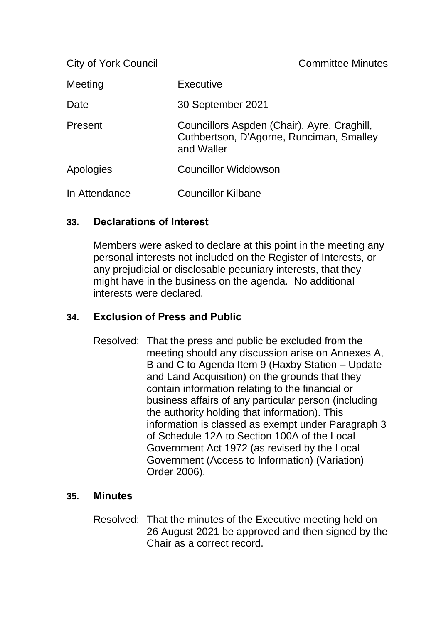| Meeting       | Executive                                                                                             |
|---------------|-------------------------------------------------------------------------------------------------------|
| Date          | 30 September 2021                                                                                     |
| Present       | Councillors Aspden (Chair), Ayre, Craghill,<br>Cuthbertson, D'Agorne, Runciman, Smalley<br>and Waller |
| Apologies     | <b>Councillor Widdowson</b>                                                                           |
| In Attendance | <b>Councillor Kilbane</b>                                                                             |

# **33. Declarations of Interest**

Members were asked to declare at this point in the meeting any personal interests not included on the Register of Interests, or any prejudicial or disclosable pecuniary interests, that they might have in the business on the agenda. No additional interests were declared.

# **34. Exclusion of Press and Public**

Resolved: That the press and public be excluded from the meeting should any discussion arise on Annexes A, B and C to Agenda Item 9 (Haxby Station – Update and Land Acquisition) on the grounds that they contain information relating to the financial or business affairs of any particular person (including the authority holding that information). This information is classed as exempt under Paragraph 3 of Schedule 12A to Section 100A of the Local Government Act 1972 (as revised by the Local Government (Access to Information) (Variation) Order 2006).

# **35. Minutes**

Resolved: That the minutes of the Executive meeting held on 26 August 2021 be approved and then signed by the Chair as a correct record.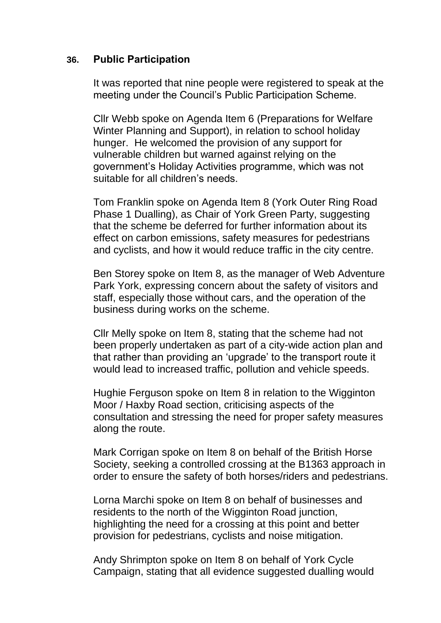#### **36. Public Participation**

It was reported that nine people were registered to speak at the meeting under the Council's Public Participation Scheme.

Cllr Webb spoke on Agenda Item 6 (Preparations for Welfare Winter Planning and Support), in relation to school holiday hunger. He welcomed the provision of any support for vulnerable children but warned against relying on the government's Holiday Activities programme, which was not suitable for all children's needs.

Tom Franklin spoke on Agenda Item 8 (York Outer Ring Road Phase 1 Dualling), as Chair of York Green Party, suggesting that the scheme be deferred for further information about its effect on carbon emissions, safety measures for pedestrians and cyclists, and how it would reduce traffic in the city centre.

Ben Storey spoke on Item 8, as the manager of Web Adventure Park York, expressing concern about the safety of visitors and staff, especially those without cars, and the operation of the business during works on the scheme.

Cllr Melly spoke on Item 8, stating that the scheme had not been properly undertaken as part of a city-wide action plan and that rather than providing an 'upgrade' to the transport route it would lead to increased traffic, pollution and vehicle speeds.

Hughie Ferguson spoke on Item 8 in relation to the Wigginton Moor / Haxby Road section, criticising aspects of the consultation and stressing the need for proper safety measures along the route.

Mark Corrigan spoke on Item 8 on behalf of the British Horse Society, seeking a controlled crossing at the B1363 approach in order to ensure the safety of both horses/riders and pedestrians.

Lorna Marchi spoke on Item 8 on behalf of businesses and residents to the north of the Wigginton Road junction, highlighting the need for a crossing at this point and better provision for pedestrians, cyclists and noise mitigation.

Andy Shrimpton spoke on Item 8 on behalf of York Cycle Campaign, stating that all evidence suggested dualling would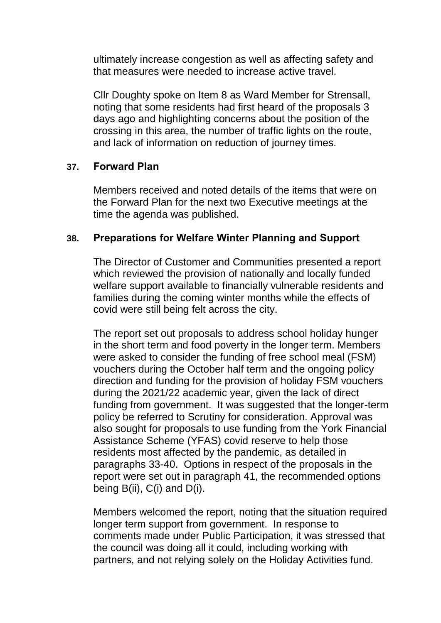ultimately increase congestion as well as affecting safety and that measures were needed to increase active travel.

Cllr Doughty spoke on Item 8 as Ward Member for Strensall, noting that some residents had first heard of the proposals 3 days ago and highlighting concerns about the position of the crossing in this area, the number of traffic lights on the route, and lack of information on reduction of journey times.

#### **37. Forward Plan**

Members received and noted details of the items that were on the Forward Plan for the next two Executive meetings at the time the agenda was published.

# **38. Preparations for Welfare Winter Planning and Support**

The Director of Customer and Communities presented a report which reviewed the provision of nationally and locally funded welfare support available to financially vulnerable residents and families during the coming winter months while the effects of covid were still being felt across the city.

The report set out proposals to address school holiday hunger in the short term and food poverty in the longer term. Members were asked to consider the funding of free school meal (FSM) vouchers during the October half term and the ongoing policy direction and funding for the provision of holiday FSM vouchers during the 2021/22 academic year, given the lack of direct funding from government. It was suggested that the longer-term policy be referred to Scrutiny for consideration. Approval was also sought for proposals to use funding from the York Financial Assistance Scheme (YFAS) covid reserve to help those residents most affected by the pandemic, as detailed in paragraphs 33-40. Options in respect of the proposals in the report were set out in paragraph 41, the recommended options being  $B(ii)$ ,  $C(i)$  and  $D(i)$ .

Members welcomed the report, noting that the situation required longer term support from government. In response to comments made under Public Participation, it was stressed that the council was doing all it could, including working with partners, and not relying solely on the Holiday Activities fund.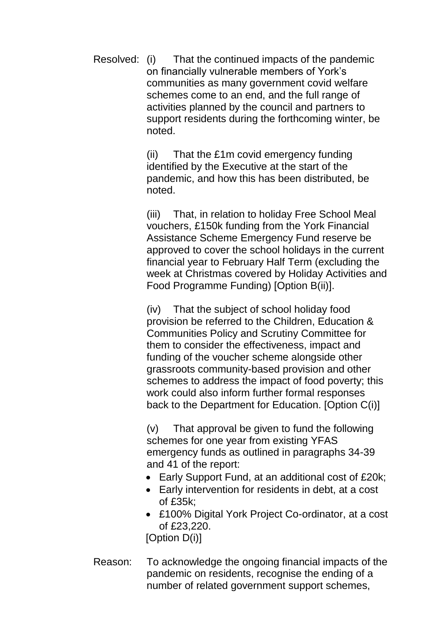Resolved: (i) That the continued impacts of the pandemic on financially vulnerable members of York's communities as many government covid welfare schemes come to an end, and the full range of activities planned by the council and partners to support residents during the forthcoming winter, be noted.

> (ii) That the £1m covid emergency funding identified by the Executive at the start of the pandemic, and how this has been distributed, be noted.

(iii) That, in relation to holiday Free School Meal vouchers, £150k funding from the York Financial Assistance Scheme Emergency Fund reserve be approved to cover the school holidays in the current financial year to February Half Term (excluding the week at Christmas covered by Holiday Activities and Food Programme Funding) [Option B(ii)].

(iv) That the subject of school holiday food provision be referred to the Children, Education & Communities Policy and Scrutiny Committee for them to consider the effectiveness, impact and funding of the voucher scheme alongside other grassroots community-based provision and other schemes to address the impact of food poverty; this work could also inform further formal responses back to the Department for Education. [Option C(i)]

(v) That approval be given to fund the following schemes for one year from existing YFAS emergency funds as outlined in paragraphs 34-39 and 41 of the report:

- Early Support Fund, at an additional cost of £20k:
- Early intervention for residents in debt, at a cost of £35k;
- £100% Digital York Project Co-ordinator, at a cost of £23,220. [Option D(i)]
- Reason: To acknowledge the ongoing financial impacts of the pandemic on residents, recognise the ending of a number of related government support schemes,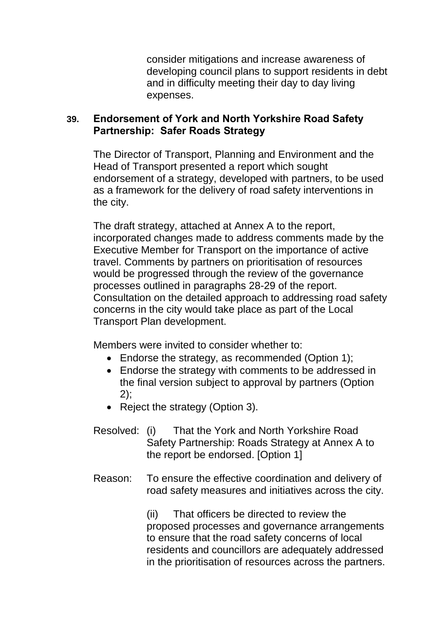consider mitigations and increase awareness of developing council plans to support residents in debt and in difficulty meeting their day to day living expenses.

# **39. Endorsement of York and North Yorkshire Road Safety Partnership: Safer Roads Strategy**

The Director of Transport, Planning and Environment and the Head of Transport presented a report which sought endorsement of a strategy, developed with partners, to be used as a framework for the delivery of road safety interventions in the city.

The draft strategy, attached at Annex A to the report, incorporated changes made to address comments made by the Executive Member for Transport on the importance of active travel. Comments by partners on prioritisation of resources would be progressed through the review of the governance processes outlined in paragraphs 28-29 of the report. Consultation on the detailed approach to addressing road safety concerns in the city would take place as part of the Local Transport Plan development.

Members were invited to consider whether to:

- Endorse the strategy, as recommended (Option 1);
- Endorse the strategy with comments to be addressed in the final version subject to approval by partners (Option 2);
- Reject the strategy (Option 3).
- Resolved: (i) That the York and North Yorkshire Road Safety Partnership: Roads Strategy at Annex A to the report be endorsed. [Option 1]
- Reason: To ensure the effective coordination and delivery of road safety measures and initiatives across the city.

(ii) That officers be directed to review the proposed processes and governance arrangements to ensure that the road safety concerns of local residents and councillors are adequately addressed in the prioritisation of resources across the partners.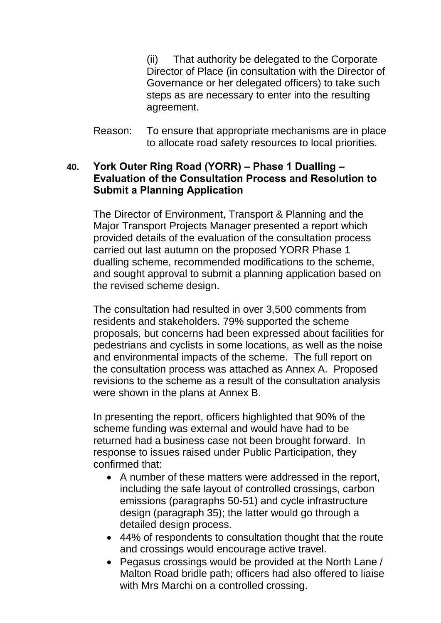(ii) That authority be delegated to the Corporate Director of Place (in consultation with the Director of Governance or her delegated officers) to take such steps as are necessary to enter into the resulting agreement.

Reason: To ensure that appropriate mechanisms are in place to allocate road safety resources to local priorities.

#### **40. York Outer Ring Road (YORR) – Phase 1 Dualling – Evaluation of the Consultation Process and Resolution to Submit a Planning Application**

The Director of Environment, Transport & Planning and the Major Transport Projects Manager presented a report which provided details of the evaluation of the consultation process carried out last autumn on the proposed YORR Phase 1 dualling scheme, recommended modifications to the scheme, and sought approval to submit a planning application based on the revised scheme design.

The consultation had resulted in over 3,500 comments from residents and stakeholders. 79% supported the scheme proposals, but concerns had been expressed about facilities for pedestrians and cyclists in some locations, as well as the noise and environmental impacts of the scheme. The full report on the consultation process was attached as Annex A. Proposed revisions to the scheme as a result of the consultation analysis were shown in the plans at Annex B.

In presenting the report, officers highlighted that 90% of the scheme funding was external and would have had to be returned had a business case not been brought forward. In response to issues raised under Public Participation, they confirmed that:

- A number of these matters were addressed in the report, including the safe layout of controlled crossings, carbon emissions (paragraphs 50-51) and cycle infrastructure design (paragraph 35); the latter would go through a detailed design process.
- 44% of respondents to consultation thought that the route and crossings would encourage active travel.
- Pegasus crossings would be provided at the North Lane / Malton Road bridle path; officers had also offered to liaise with Mrs Marchi on a controlled crossing.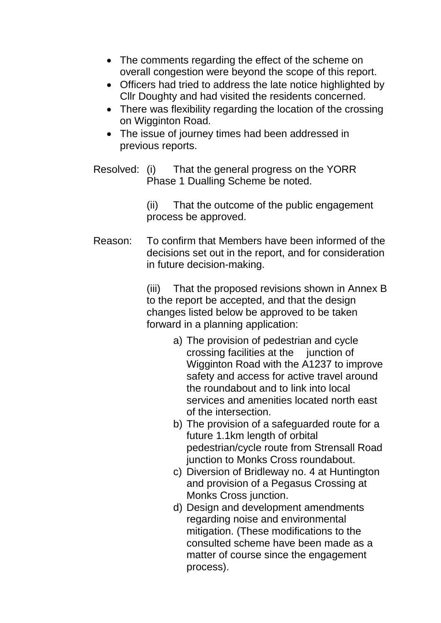- The comments regarding the effect of the scheme on overall congestion were beyond the scope of this report.
- Officers had tried to address the late notice highlighted by Cllr Doughty and had visited the residents concerned.
- There was flexibility regarding the location of the crossing on Wigginton Road.
- The issue of journey times had been addressed in previous reports.
- Resolved: (i) That the general progress on the YORR Phase 1 Dualling Scheme be noted.

(ii) That the outcome of the public engagement process be approved.

Reason: To confirm that Members have been informed of the decisions set out in the report, and for consideration in future decision-making.

> (iii) That the proposed revisions shown in Annex B to the report be accepted, and that the design changes listed below be approved to be taken forward in a planning application:

- a) The provision of pedestrian and cycle crossing facilities at the junction of Wigginton Road with the A1237 to improve safety and access for active travel around the roundabout and to link into local services and amenities located north east of the intersection.
- b) The provision of a safeguarded route for a future 1.1km length of orbital pedestrian/cycle route from Strensall Road junction to Monks Cross roundabout.
- c) Diversion of Bridleway no. 4 at Huntington and provision of a Pegasus Crossing at Monks Cross junction.
- d) Design and development amendments regarding noise and environmental mitigation. (These modifications to the consulted scheme have been made as a matter of course since the engagement process).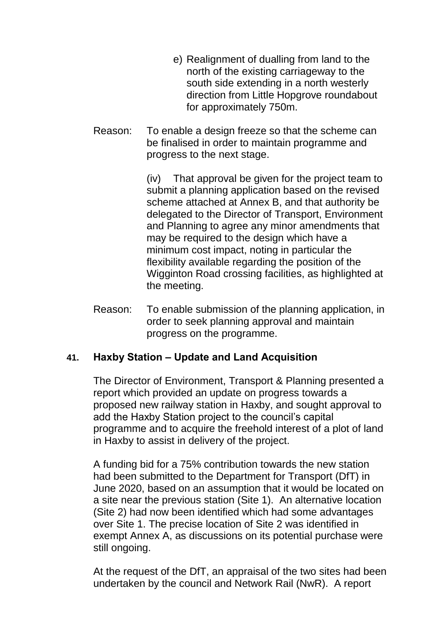- e) Realignment of dualling from land to the north of the existing carriageway to the south side extending in a north westerly direction from Little Hopgrove roundabout for approximately 750m.
- Reason: To enable a design freeze so that the scheme can be finalised in order to maintain programme and progress to the next stage.

(iv) That approval be given for the project team to submit a planning application based on the revised scheme attached at Annex B, and that authority be delegated to the Director of Transport, Environment and Planning to agree any minor amendments that may be required to the design which have a minimum cost impact, noting in particular the flexibility available regarding the position of the Wigginton Road crossing facilities, as highlighted at the meeting.

Reason: To enable submission of the planning application, in order to seek planning approval and maintain progress on the programme.

# **41. Haxby Station – Update and Land Acquisition**

The Director of Environment, Transport & Planning presented a report which provided an update on progress towards a proposed new railway station in Haxby, and sought approval to add the Haxby Station project to the council's capital programme and to acquire the freehold interest of a plot of land in Haxby to assist in delivery of the project.

A funding bid for a 75% contribution towards the new station had been submitted to the Department for Transport (DfT) in June 2020, based on an assumption that it would be located on a site near the previous station (Site 1). An alternative location (Site 2) had now been identified which had some advantages over Site 1. The precise location of Site 2 was identified in exempt Annex A, as discussions on its potential purchase were still ongoing.

At the request of the DfT, an appraisal of the two sites had been undertaken by the council and Network Rail (NwR). A report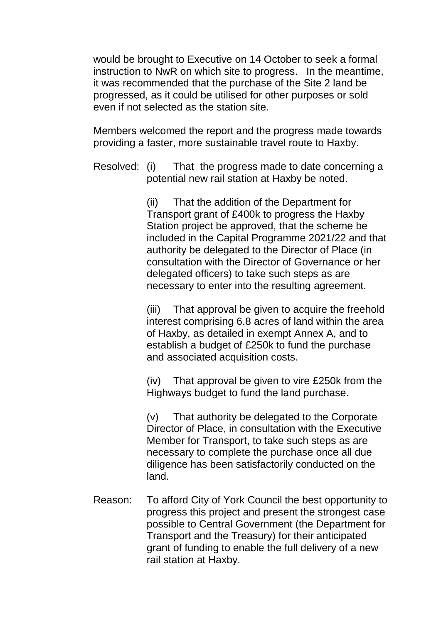would be brought to Executive on 14 October to seek a formal instruction to NwR on which site to progress. In the meantime, it was recommended that the purchase of the Site 2 land be progressed, as it could be utilised for other purposes or sold even if not selected as the station site.

Members welcomed the report and the progress made towards providing a faster, more sustainable travel route to Haxby.

Resolved: (i) That the progress made to date concerning a potential new rail station at Haxby be noted.

> (ii) That the addition of the Department for Transport grant of £400k to progress the Haxby Station project be approved, that the scheme be included in the Capital Programme 2021/22 and that authority be delegated to the Director of Place (in consultation with the Director of Governance or her delegated officers) to take such steps as are necessary to enter into the resulting agreement.

> (iii) That approval be given to acquire the freehold interest comprising 6.8 acres of land within the area of Haxby, as detailed in exempt Annex A, and to establish a budget of £250k to fund the purchase and associated acquisition costs.

(iv) That approval be given to vire £250k from the Highways budget to fund the land purchase.

(v) That authority be delegated to the Corporate Director of Place, in consultation with the Executive Member for Transport, to take such steps as are necessary to complete the purchase once all due diligence has been satisfactorily conducted on the land.

Reason: To afford City of York Council the best opportunity to progress this project and present the strongest case possible to Central Government (the Department for Transport and the Treasury) for their anticipated grant of funding to enable the full delivery of a new rail station at Haxby.